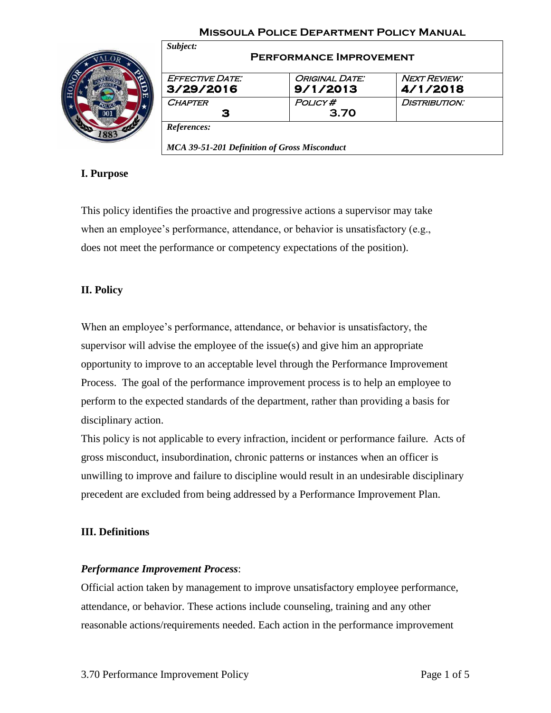#### **Missoula Police Department Policy Manual**



| <b>EFFECTIVE DATE:</b> | <b>ORIGINAL DATE:</b> | <b>NEXT REVIEW:</b> |
|------------------------|-----------------------|---------------------|
| 3/29/2016              | 9/1/2013              | 4/1/2018            |
| <b>CHAPTER</b>         | <b>POLICY#</b>        | DISTRIBUTION:       |
| з                      | 3.70                  |                     |

# **I. Purpose**

This policy identifies the proactive and progressive actions a supervisor may take when an employee's performance, attendance, or behavior is unsatisfactory (e.g., does not meet the performance or competency expectations of the position).

# **II. Policy**

When an employee's performance, attendance, or behavior is unsatisfactory, the supervisor will advise the employee of the issue(s) and give him an appropriate opportunity to improve to an acceptable level through the Performance Improvement Process. The goal of the performance improvement process is to help an employee to perform to the expected standards of the department, rather than providing a basis for disciplinary action.

This policy is not applicable to every infraction, incident or performance failure. Acts of gross misconduct, insubordination, chronic patterns or instances when an officer is unwilling to improve and failure to discipline would result in an undesirable disciplinary precedent are excluded from being addressed by a Performance Improvement Plan.

## **III. Definitions**

## *Performance Improvement Process*:

Official action taken by management to improve unsatisfactory employee performance, attendance, or behavior. These actions include counseling, training and any other reasonable actions/requirements needed. Each action in the performance improvement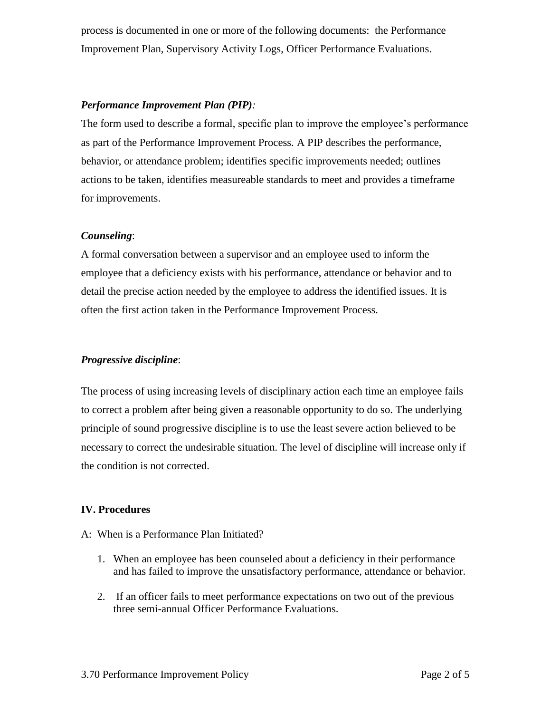process is documented in one or more of the following documents: the Performance Improvement Plan, Supervisory Activity Logs, Officer Performance Evaluations.

#### *Performance Improvement Plan (PIP):*

The form used to describe a formal, specific plan to improve the employee's performance as part of the Performance Improvement Process. A PIP describes the performance, behavior, or attendance problem; identifies specific improvements needed; outlines actions to be taken, identifies measureable standards to meet and provides a timeframe for improvements.

#### *Counseling*:

A formal conversation between a supervisor and an employee used to inform the employee that a deficiency exists with his performance, attendance or behavior and to detail the precise action needed by the employee to address the identified issues. It is often the first action taken in the Performance Improvement Process.

## *Progressive discipline*:

The process of using increasing levels of disciplinary action each time an employee fails to correct a problem after being given a reasonable opportunity to do so. The underlying principle of sound progressive discipline is to use the least severe action believed to be necessary to correct the undesirable situation. The level of discipline will increase only if the condition is not corrected.

#### **IV. Procedures**

- A: When is a Performance Plan Initiated?
	- 1. When an employee has been counseled about a deficiency in their performance and has failed to improve the unsatisfactory performance, attendance or behavior.
	- 2. If an officer fails to meet performance expectations on two out of the previous three semi-annual Officer Performance Evaluations.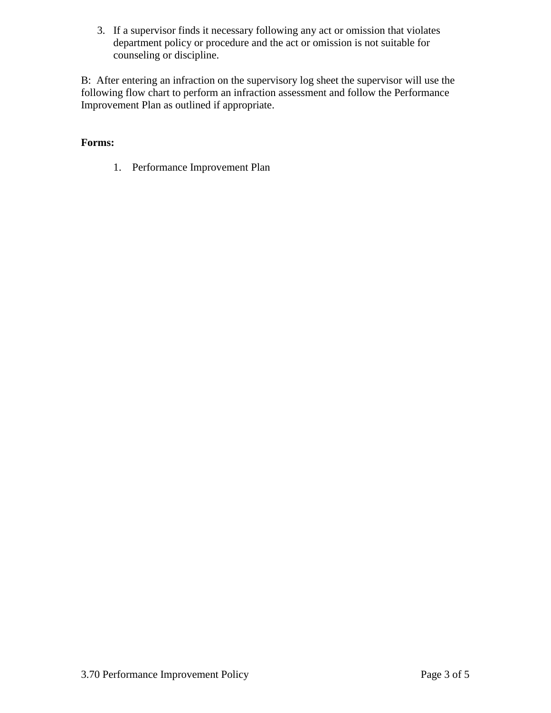3. If a supervisor finds it necessary following any act or omission that violates department policy or procedure and the act or omission is not suitable for counseling or discipline.

B: After entering an infraction on the supervisory log sheet the supervisor will use the following flow chart to perform an infraction assessment and follow the Performance Improvement Plan as outlined if appropriate.

## **Forms:**

1. Performance Improvement Plan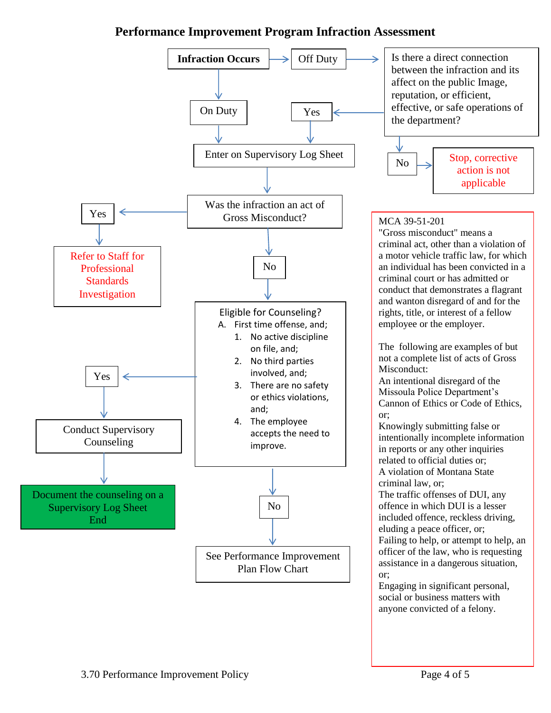# **Performance Improvement Program Infraction Assessment**